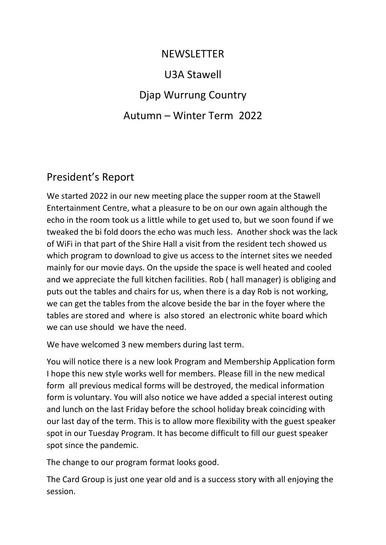## NEWSLETTER U3A Stawell Djap Wurrung Country Autumn – Winter Term 2022

## President's Report

We started 2022 in our new meeting place the supper room at the Stawell Entertainment Centre, what a pleasure to be on our own again although the echo in the room took us a little while to get used to, but we soon found if we tweaked the bi fold doors the echo was much less. Another shock was the lack of WiFi in that part of the Shire Hall a visit from the resident tech showed us which program to download to give us access to the internet sites we needed mainly for our movie days. On the upside the space is well heated and cooled and we appreciate the full kitchen facilities. Rob ( hall manager) is obliging and puts out the tables and chairs for us, when there is a day Rob is not working, we can get the tables from the alcove beside the bar in the foyer where the tables are stored and where is also stored an electronic white board which we can use should we have the need.

We have welcomed 3 new members during last term.

You will notice there is a new look Program and Membership Application form I hope this new style works well for members. Please fill in the new medical form all previous medical forms will be destroyed, the medical information form is voluntary. You will also notice we have added a special interest outing and lunch on the last Friday before the school holiday break coinciding with our last day of the term. This is to allow more flexibility with the guest speaker spot in our Tuesday Program. It has become difficult to fill our guest speaker spot since the pandemic.

The change to our program format looks good.

The Card Group is just one year old and is a success story with all enjoying the session.